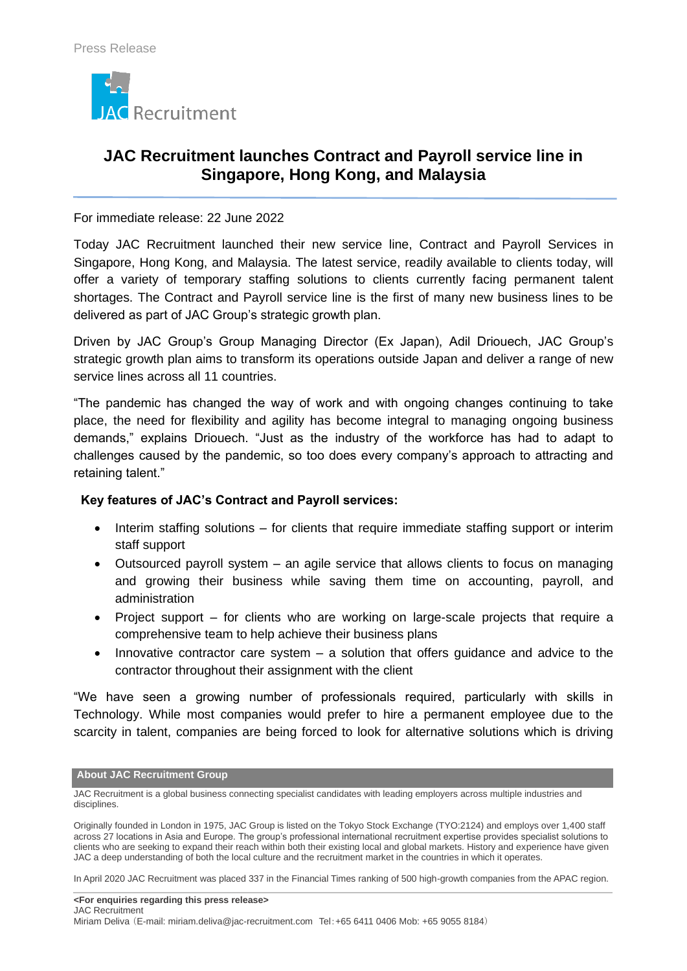

# **JAC Recruitment launches Contract and Payroll service line in Singapore, Hong Kong, and Malaysia**

### For immediate release: 22 June 2022

Today JAC Recruitment launched their new service line, Contract and Payroll Services in Singapore, Hong Kong, and Malaysia. The latest service, readily available to clients today, will offer a variety of temporary staffing solutions to clients currently facing permanent talent shortages. The Contract and Payroll service line is the first of many new business lines to be delivered as part of JAC Group's strategic growth plan.

Driven by JAC Group's Group Managing Director (Ex Japan), Adil Driouech, JAC Group's strategic growth plan aims to transform its operations outside Japan and deliver a range of new service lines across all 11 countries.

"The pandemic has changed the way of work and with ongoing changes continuing to take place, the need for flexibility and agility has become integral to managing ongoing business demands," explains Driouech. "Just as the industry of the workforce has had to adapt to challenges caused by the pandemic, so too does every company's approach to attracting and retaining talent."

## **Key features of JAC's Contract and Payroll services:**

- Interim staffing solutions for clients that require immediate staffing support or interim staff support
- Outsourced payroll system an agile service that allows clients to focus on managing and growing their business while saving them time on accounting, payroll, and administration
- Project support for clients who are working on large-scale projects that require a comprehensive team to help achieve their business plans
- Innovative contractor care system a solution that offers guidance and advice to the contractor throughout their assignment with the client

"We have seen a growing number of professionals required, particularly with skills in Technology. While most companies would prefer to hire a permanent employee due to the scarcity in talent, companies are being forced to look for alternative solutions which is driving

#### **About JAC Recruitment Group**

JAC Recruitment is a global business connecting specialist candidates with leading employers across multiple industries and disciplines.

In April 2020 JAC Recruitment was placed 337 in the Financial Times ranking of 500 high-growth companies from the APAC region.

Originally founded in London in 1975, JAC Group is listed on the Tokyo Stock Exchange (TYO:2124) and employs over 1,400 staff across 27 locations in Asia and Europe. The group's professional international recruitment expertise provides specialist solutions to clients who are seeking to expand their reach within both their existing local and global markets. History and experience have given JAC a deep understanding of both the local culture and the recruitment market in the countries in which it operates.